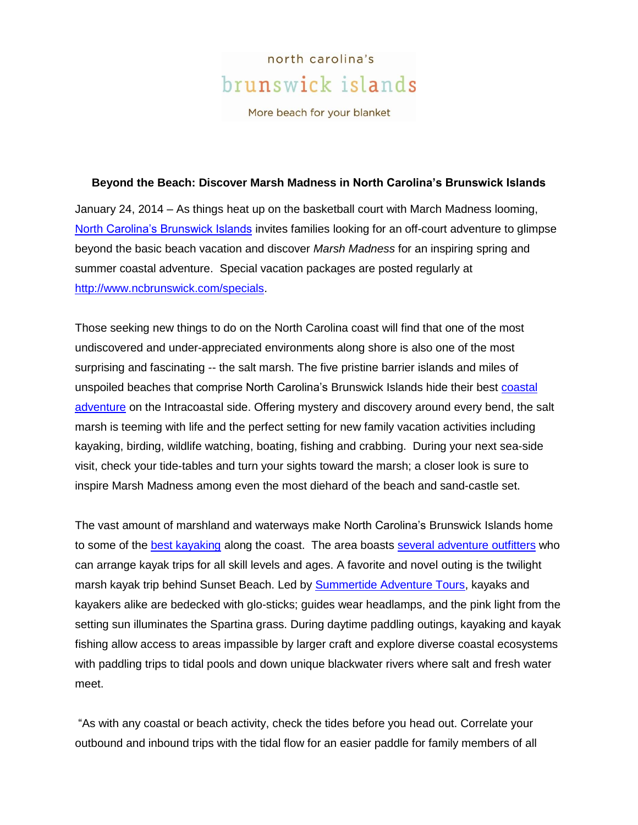## north carolina's brunswick islands

More beach for your blanket

## **Beyond the Beach: Discover Marsh Madness in North Carolina's Brunswick Islands**

January 24, 2014 – As things heat up on the basketball court with March Madness looming, [North Carolina's Brunswick Islands](http://www.ncbrunswick.com/) invites families looking for an off-court adventure to glimpse beyond the basic beach vacation and discover *Marsh Madness* for an inspiring spring and summer coastal adventure. Special vacation packages are posted regularly at [http://www.ncbrunswick.com/specials.](http://www.ncbrunswick.com/specials)

Those seeking new things to do on the North Carolina coast will find that one of the most undiscovered and under-appreciated environments along shore is also one of the most surprising and fascinating -- the salt marsh. The five pristine barrier islands and miles of unspoiled beaches that comprise North Carolina's Brunswick Islands hide their best [coastal](http://www.ncbrunswick.com/fun_and_adventure) [adventure](http://www.ncbrunswick.com/fun_and_adventure) on the Intracoastal side. Offering mystery and discovery around every bend, the salt marsh is teeming with life and the perfect setting for new family vacation activities including kayaking, birding, wildlife watching, boating, fishing and crabbing. During your next sea-side visit, check your tide-tables and turn your sights toward the marsh; a closer look is sure to inspire Marsh Madness among even the most diehard of the beach and sand-castle set.

The vast amount of marshland and waterways make North Carolina's Brunswick Islands home to some of the [best kayaking](http://www.ncbrunswick.com/videos/55022551) along the coast. The area boasts [several adventure outfitters](http://www.ncbrunswick.com/fun_and_adventure) who can arrange kayak trips for all skill levels and ages. A favorite and novel outing is the twilight marsh kayak trip behind Sunset Beach. Led by [Summertide Adventure Tours,](http://summertidetours.com/) kayaks and kayakers alike are bedecked with glo-sticks; guides wear headlamps, and the pink light from the setting sun illuminates the Spartina grass. During daytime paddling outings, kayaking and kayak fishing allow access to areas impassible by larger craft and explore diverse coastal ecosystems with paddling trips to tidal pools and down unique blackwater rivers where salt and fresh water meet.

"As with any coastal or beach activity, check the tides before you head out. Correlate your outbound and inbound trips with the tidal flow for an easier paddle for family members of all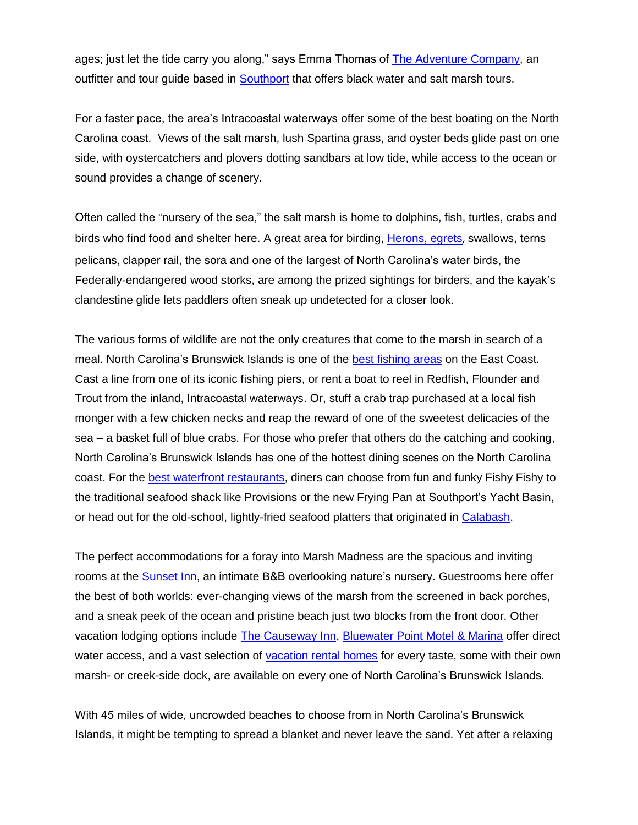ages; just let the tide carry you along," says Emma Thomas of [The Adventure Company,](http://www.theadventurecompany.net/) an outfitter and tour guide based in [Southport](http://www.ncbrunswick.com/islands/Southport) that offers black water and salt marsh tours.

For a faster pace, the area's Intracoastal waterways offer some of the best boating on the North Carolina coast. Views of the salt marsh, lush Spartina grass, and oyster beds glide past on one side, with oystercatchers and plovers dotting sandbars at low tide, while access to the ocean or sound provides a change of scenery.

Often called the "nursery of the sea," the salt marsh is home to dolphins, fish, turtles, crabs and birds who find food and shelter here. A great area for birding, [Herons, egrets](http://www.ncbrunswick.com/activity/brunswick-bird-watching-mainland), swallows, terns pelicans, clapper rail, the sora and one of the largest of North Carolina's water birds, the Federally-endangered wood storks, are among the prized sightings for birders, and the kayak's clandestine glide lets paddlers often sneak up undetected for a closer look.

The various forms of wildlife are not the only creatures that come to the marsh in search of a meal. North Carolina's Brunswick Islands is one of the [best fishing areas](http://www.ncbrunswick.com/fun_and_adventure/fishing_and_charters) on the East Coast. Cast a line from one of its iconic fishing piers, or rent a boat to reel in Redfish, Flounder and Trout from the inland, Intracoastal waterways. Or, stuff a crab trap purchased at a local fish monger with a few chicken necks and reap the reward of one of the sweetest delicacies of the sea – a basket full of blue crabs. For those who prefer that others do the catching and cooking, North Carolina's Brunswick Islands has one of the hottest dining scenes on the North Carolina coast. For the [best waterfront restaurants,](http://www.ncbrunswick.com/fun_and_adventure/dining) diners can choose from fun and funky Fishy Fishy to the traditional seafood shack like Provisions or the new Frying Pan at Southport's Yacht Basin, or head out for the old-school, lightly-fried seafood platters that originated in [Calabash.](http://www.ncbrunswick.com/videos/55022548)

The perfect accommodations for a foray into Marsh Madness are the spacious and inviting rooms at the [Sunset Inn,](http://www.thesunsetinn.net/) an intimate B&B overlooking nature's nursery. Guestrooms here offer the best of both worlds: ever-changing views of the marsh from the screened in back porches, and a sneak peek of the ocean and pristine beach just two blocks from the front door. Other vacation lodging options include [The Causeway Inn,](http://www.ncbrunswick.com/accommodation/causeway-inn-condotels-and-suites-ocean-isle) [Bluewater Point Motel & Marina](http://www.ncbrunswick.com/accommodation/blue-water-point-motel-marina-oak-island) offer direct water access, and a vast selection of [vacation rental homes](http://www.ncbrunswick.com/accommodations) for every taste, some with their own marsh- or creek-side dock, are available on every one of North Carolina's Brunswick Islands.

With 45 miles of wide, uncrowded beaches to choose from in North Carolina's Brunswick Islands, it might be tempting to spread a blanket and never leave the sand. Yet after a relaxing